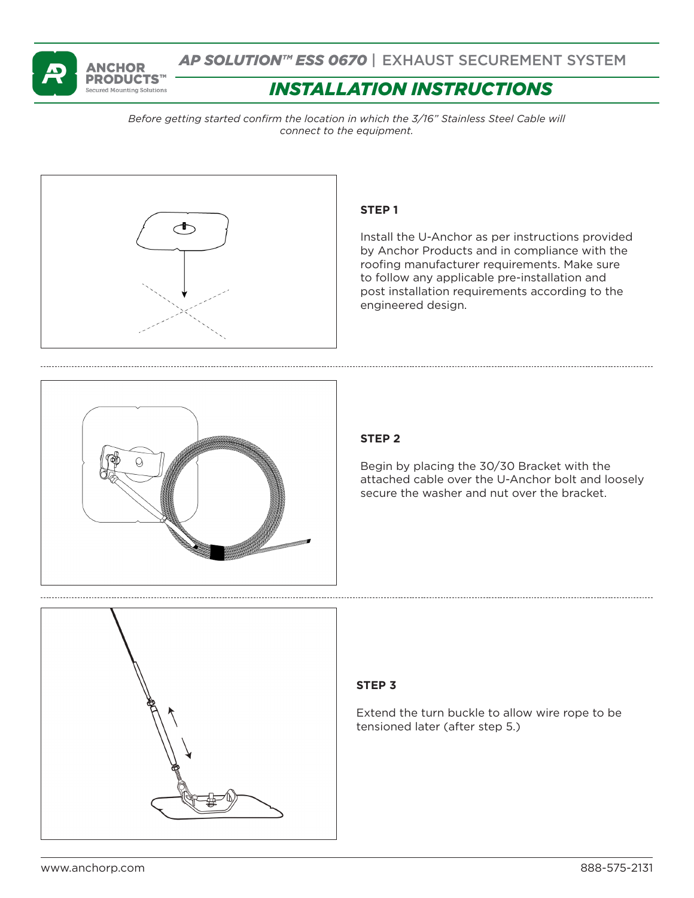

*AP SOLUTION™ ESS 0670* | EXHAUST SECUREMENT SYSTEM

# *INSTALLATION INSTRUCTIONS*

*Before getting started confirm the location in which the 3/16" Stainless Steel Cable will connect to the equipment.* 



# **STEP 1**

Install the U-Anchor as per instructions provided by Anchor Products and in compliance with the roofing manufacturer requirements. Make sure to follow any applicable pre-installation and post installation requirements according to the engineered design.



# **STEP 2**

Begin by placing the 30/30 Bracket with the attached cable over the U-Anchor bolt and loosely secure the washer and nut over the bracket.



### **STEP 3**

Extend the turn buckle to allow wire rope to be tensioned later (after step 5.)